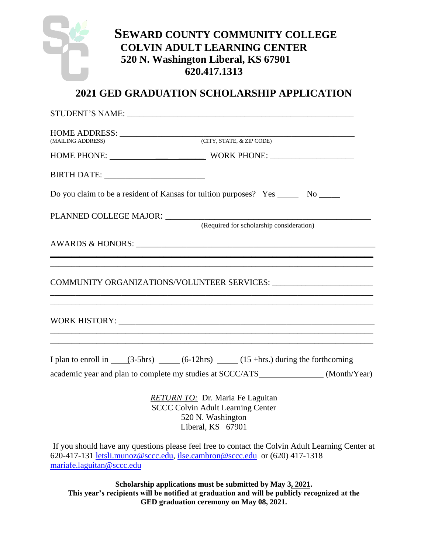

## **2021 GED GRADUATION SCHOLARSHIP APPLICATION**

| Do you claim to be a resident of Kansas for tuition purposes? Yes No _____                                                                                                                                  |
|-------------------------------------------------------------------------------------------------------------------------------------------------------------------------------------------------------------|
|                                                                                                                                                                                                             |
| (Required for scholarship consideration)                                                                                                                                                                    |
| AWARDS & HONORS:                                                                                                                                                                                            |
| <u> 1989 - Jan James James James James James James James James James James James James James James James James J</u><br>,我们也不会有什么。""我们的人,我们也不会有什么?""我们的人,我们也不会有什么?""我们的人,我们也不会有什么?""我们的人,我们也不会有什么?""我们的人    |
|                                                                                                                                                                                                             |
| I plan to enroll in $(3-5)$ $(6-12)$ hrs) $(15 + hrs.)$ during the forthcoming                                                                                                                              |
| academic year and plan to complete my studies at SCCC/ATS________________(Month/Year)                                                                                                                       |
| RETURN TO: Dr. Maria Fe Laguitan<br><b>SCCC Colvin Adult Learning Center</b><br>520 N. Washington<br>Liberal, KS 67901                                                                                      |
| If you should have any questions please feel free to contact the Colvin Adult Learning Center at<br>620-417-131 letsli.munoz@sccc.edu, ilse.cambron@sccc.edu or (620) 417-1318<br>mariafe.laguitan@sccc.edu |

**Scholarship applications must be submitted by May 3, 2021. This year's recipients will be notified at graduation and will be publicly recognized at the GED graduation ceremony on May 08, 2021.**